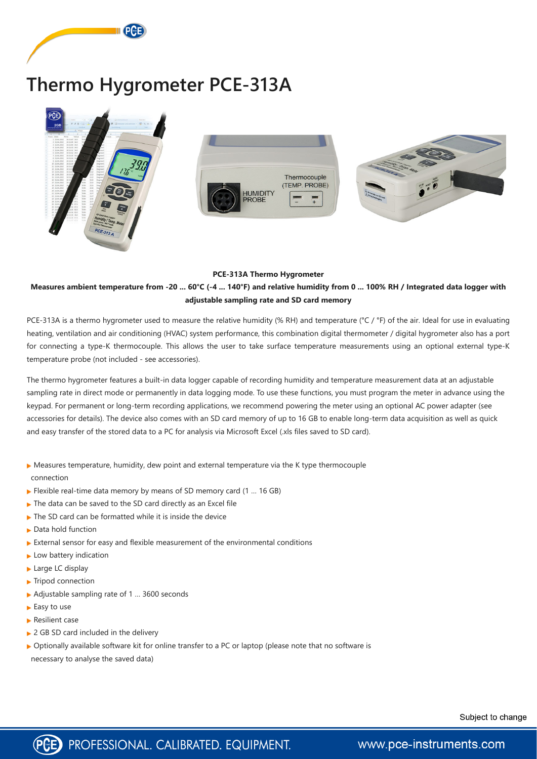

# **Thermo Hygrometer PCE-313A**



#### **PCE-313A Thermo Hygrometer**

### **Measures ambient temperature from -20 ... 60°C (-4 ... 140°F) and relative humidity from 0 ... 100% RH / Integrated data logger with adjustable sampling rate and SD card memory**

PCE-313A is a thermo hygrometer used to measure the relative humidity (% RH) and temperature (°C / °F) of the air. Ideal for use in evaluating heating, ventilation and air conditioning (HVAC) system performance, this combination digital thermometer / digital hygrometer also has a port for connecting a type-K thermocouple. This allows the user to take surface temperature measurements using an optional external type-K temperature probe (not included - see accessories).

The thermo hygrometer features a built-in data logger capable of recording humidity and temperature measurement data at an adjustable sampling rate in direct mode or permanently in data logging mode. To use these functions, you must program the meter in advance using the keypad. For permanent or long-term recording applications, we recommend powering the meter using an optional AC power adapter (see accessories for details). The device also comes with an SD card memory of up to 16 GB to enable long-term data acquisition as well as quick and easy transfer of the stored data to a PC for analysis via Microsoft Excel (.xls files saved to SD card).

- ▶ Measures temperature, humidity, dew point and external temperature via the K type thermocouple connection
- $\blacktriangleright$  Flexible real-time data memory by means of SD memory card (1 ... 16 GB)
- ▶ The data can be saved to the SD card directly as an Excel file
- $\blacktriangleright$  The SD card can be formatted while it is inside the device
- ▶ Data hold function
- $\blacktriangleright$  External sensor for easy and flexible measurement of the environmental conditions
- $\blacktriangleright$  Low battery indication
- Large LC display

▶ Tripod connection

- ▶ Adjustable sampling rate of 1 ... 3600 seconds
- ► Easy to use
- **Resilient case**
- ▶ 2 GB SD card included in the delivery
- ▶ Optionally available software kit for online transfer to a PC or laptop (please note that no software is necessary to analyse the saved data)

Subject to change

www.pce-instruments.com